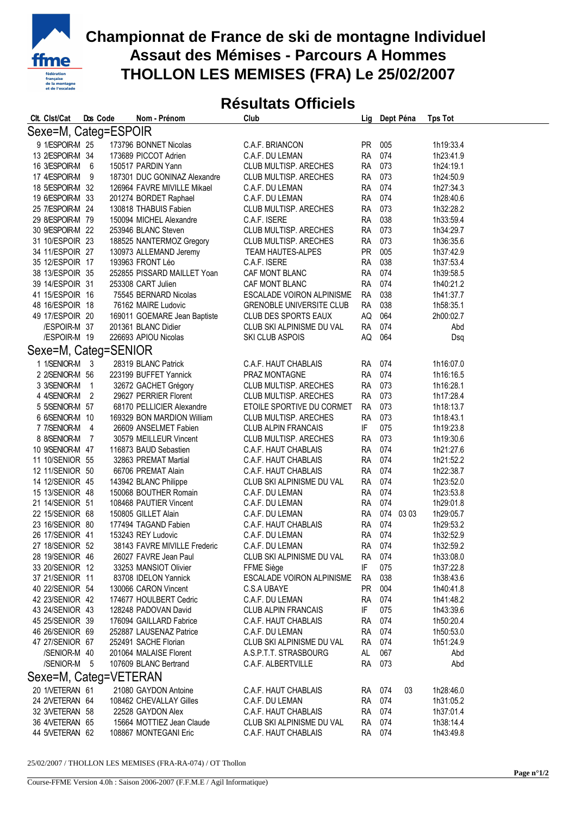

## **Championnat de France de ski de montagne Individuel Assaut des Mémises - Parcours A Hommes THOLLON LES MEMISES (FRA) Le 25/02/2007**

## **Résultats Officiels**

| Clt. Clst/Cat         | Dos Code       | Nom - Prénom                 | Club                            | Lig       | Dept Péna | <b>Tps Tot</b>  |  |
|-----------------------|----------------|------------------------------|---------------------------------|-----------|-----------|-----------------|--|
| Sexe=M, Categ=ESPOIR  |                |                              |                                 |           |           |                 |  |
| 9 1/ESPOIR-M 25       |                | 173796 BONNET Nicolas        | C.A.F. BRIANCON                 | <b>PR</b> | 005       | 1h19:33.4       |  |
| 13 2/ESPOIR-M 34      |                | 173689 PICCOT Adrien         | C.A.F. DU LEMAN                 | <b>RA</b> | 074       | 1h23:41.9       |  |
| 16 3/ESPOIR-M 6       |                | 150517 PARDIN Yann           | CLUB MULTISP. ARECHES           | <b>RA</b> | 073       | 1h24:19.1       |  |
| 17 4/ESPOIR-M 9       |                | 187301 DUC GONINAZ Alexandre | CLUB MULTISP. ARECHES           | <b>RA</b> | 073       | 1h24:50.9       |  |
| 18 5/ESPOIR-M 32      |                | 126964 FAVRE MIVILLE Mikael  | C.A.F. DU LEMAN                 | <b>RA</b> | 074       | 1h27:34.3       |  |
| 19 6/ESPOIR-M 33      |                | 201274 BORDET Raphael        | C.A.F. DU LEMAN                 | <b>RA</b> | 074       | 1h28:40.6       |  |
| 25 7/ESPOIR-M 24      |                | 130818 THABUIS Fabien        | CLUB MULTISP. ARECHES           | RA        | 073       | 1h32:28.2       |  |
| 29 8/ESPOIR-M 79      |                | 150094 MICHEL Alexandre      | C.A.F. ISERE                    | <b>RA</b> | 038       | 1h33:59.4       |  |
| 30 9/ESPOIR-M 22      |                | 253946 BLANC Steven          | CLUB MULTISP. ARECHES           | <b>RA</b> | 073       | 1h34:29.7       |  |
| 31 10/ESPOIR 23       |                | 188525 NANTERMOZ Gregory     | CLUB MULTISP. ARECHES           | <b>RA</b> | 073       | 1h36:35.6       |  |
| 34 11/ESPOIR 27       |                | 130973 ALLEMAND Jeremy       | <b>TEAM HAUTES-ALPES</b>        | <b>PR</b> | 005       | 1h37:42.9       |  |
| 35 12/ESPOIR 17       |                | 193963 FRONT Léo             | C.A.F. ISERE                    | RA        | 038       | 1h37:53.4       |  |
| 38 13/ESPOIR 35       |                | 252855 PISSARD MAILLET Yoan  | CAF MONT BLANC                  | <b>RA</b> | 074       | 1h39:58.5       |  |
| 39 14/ESPOIR 31       |                | 253308 CART Julien           | CAF MONT BLANC                  | <b>RA</b> | 074       | 1h40:21.2       |  |
| 41 15/ESPOIR 16       |                | 75545 BERNARD Nicolas        | ESCALADE VOIRON ALPINISME       | <b>RA</b> | 038       | 1h41:37.7       |  |
| 48 16/ESPOIR 18       |                | 76162 MAIRE Ludovic          | <b>GRENOBLE UNIVERSITE CLUB</b> | <b>RA</b> | 038       | 1h58:35.1       |  |
| 49 17/ESPOIR 20       |                | 169011 GOEMARE Jean Baptiste | <b>CLUB DES SPORTS EAUX</b>     | AQ        | 064       | 2h00:02.7       |  |
| /ESPOIR-M 37          |                | 201361 BLANC Didier          | CLUB SKI ALPINISME DU VAL       | <b>RA</b> | 074       | Abd             |  |
| /ESPOIR-M 19          |                | 226693 APIOU Nicolas         | <b>SKI CLUB ASPOIS</b>          | AQ        | 064       | Dsq             |  |
| Sexe=M, Categ=SENIOR  |                |                              |                                 |           |           |                 |  |
| 1 1/SENIOR-M 3        |                | 28319 BLANC Patrick          | C.A.F. HAUT CHABLAIS            | RA 074    |           | 1h16:07.0       |  |
| 2 2/SENIOR-M 56       |                | 223199 BUFFET Yannick        | PRAZ MONTAGNE                   | <b>RA</b> | 074       | 1h16:16.5       |  |
| 3 3/SENIOR-M          | $\overline{1}$ | 32672 GACHET Grégory         | CLUB MULTISP. ARECHES           | <b>RA</b> | 073       | 1h16:28.1       |  |
| 4 4/SENIOR-M 2        |                | 29627 PERRIER Florent        | CLUB MULTISP. ARECHES           | <b>RA</b> | 073       | 1h17:28.4       |  |
| 5 5/SENIOR-M 57       |                | 68170 PELLICIER Alexandre    | ETOILE SPORTIVE DU CORMET       | <b>RA</b> | 073       | 1h18:13.7       |  |
| 6 6/SENIOR-M 10       |                | 169329 BON MARDION William   | CLUB MULTISP. ARECHES           | <b>RA</b> | 073       | 1h18:43.1       |  |
| 7 7/SENIOR-M 4        |                | 26609 ANSELMET Fabien        | <b>CLUB ALPIN FRANCAIS</b>      | IF        | 075       | 1h19:23.8       |  |
| 8 8/SENIOR-M 7        |                | 30579 MEILLEUR Vincent       | CLUB MULTISP. ARECHES           | <b>RA</b> | 073       | 1h19:30.6       |  |
| 10 9/SENIOR-M 47      |                | 116873 BAUD Sebastien        | C.A.F. HAUT CHABLAIS            | <b>RA</b> | 074       | 1h21:27.6       |  |
| 11 10/SENIOR 55       |                | 32863 PREMAT Martial         | C.A.F. HAUT CHABLAIS            | <b>RA</b> | 074       | 1h21:52.2       |  |
| 12 11/SENIOR 50       |                | 66706 PREMAT Alain           | C.A.F. HAUT CHABLAIS            | <b>RA</b> | 074       | 1h22:38.7       |  |
| 14 12/SENIOR 45       |                | 143942 BLANC Philippe        | CLUB SKI ALPINISME DU VAL       | RA.       | 074       | 1h23:52.0       |  |
| 15 13/SENIOR 48       |                | 150068 BOUTHER Romain        | C.A.F. DU LEMAN                 | <b>RA</b> | 074       | 1h23:53.8       |  |
| 21 14/SENIOR 51       |                | 108468 PAUTIER Vincent       | C.A.F. DU LEMAN                 | <b>RA</b> | 074       | 1h29:01.8       |  |
| 22 15/SENIOR 68       |                | 150805 GILLET Alain          | C.A.F. DU LEMAN                 | <b>RA</b> | 074 03 03 | 1h29:05.7       |  |
| 23 16/SENIOR 80       |                | 177494 TAGAND Fabien         | C.A.F. HAUT CHABLAIS            | RA        | 074       | 1h29:53.2       |  |
| 26 17/SENIOR 41       |                | 153243 REY Ludovic           | C.A.F. DU LEMAN                 | <b>RA</b> | 074       | 1h32:52.9       |  |
| 27 18/SENIOR 52       |                | 38143 FAVRE MIVILLE Frederic | C.A.F. DU LEMAN                 | RA        | 074       | 1h32:59.2       |  |
| 28 19/SENIOR 46       |                | 26027 FAVRE Jean Paul        | CLUB SKI ALPINISME DU VAL       | RA        | 074       | 1h33:08.0       |  |
| 33 20/SENIOR 12       |                | 33253 MANSIOT Olivier        | FFME Siège                      | IF        | 075       | 1h37:22.8       |  |
| 37 21/SENIOR 11       |                | 83708 IDELON Yannick         | ESCALADE VOIRON ALPINISME       | <b>RA</b> | 038       | 1h38:43.6       |  |
| 40 22/SENIOR 54       |                | 130066 CARON Vincent         | C.S.A UBAYE                     | <b>PR</b> | 004       | 1h40:41.8       |  |
| 42 23/SENIOR 42       |                | 174677 HOULBERT Cedric       | C.A.F. DU LEMAN                 | RA        | 074       | 1h41:48.2       |  |
| 43 24/SENIOR 43       |                | 128248 PADOVAN David         | <b>CLUB ALPIN FRANCAIS</b>      | IF        | 075       | 1h43:39.6       |  |
| 45 25/SENIOR 39       |                | 176094 GAILLARD Fabrice      | C.A.F. HAUT CHABLAIS            | RA        | 074       | 1h50:20.4       |  |
| 46 26/SENIOR 69       |                | 252887 LAUSENAZ Patrice      | C.A.F. DU LEMAN                 | <b>RA</b> | 074       | 1h50:53.0       |  |
| 47 27/SENIOR 67       |                | 252491 SACHE Florian         | CLUB SKI ALPINISME DU VAL       | <b>RA</b> | 074       | 1h51:24.9       |  |
| /SENIOR-M 40          |                | 201064 MALAISE Florent       | A.S.P.T.T. STRASBOURG           | AL        | 067       | Abd             |  |
| /SENIOR-M 5           |                | 107609 BLANC Bertrand        | C.A.F. ALBERTVILLE              | <b>RA</b> | 073       | Abd             |  |
| Sexe=M, Categ=VETERAN |                |                              |                                 |           |           |                 |  |
| 20 1/VETERAN 61       |                | 21080 GAYDON Antoine         | C.A.F. HAUT CHABLAIS            | RA 074    |           | 1h28:46.0<br>03 |  |
| 24 2NETERAN 64        |                | 108462 CHEVALLAY Gilles      | C.A.F. DU LEMAN                 | <b>RA</b> | 074       | 1h31:05.2       |  |
| 32 3NETERAN 58        |                | 22528 GAYDON Alex            | C.A.F. HAUT CHABLAIS            | <b>RA</b> | 074       | 1h37:01.4       |  |
| 36 4/VETERAN 65       |                | 15664 MOTTIEZ Jean Claude    | CLUB SKI ALPINISME DU VAL       | <b>RA</b> | 074       | 1h38:14.4       |  |
| 44 5NETERAN 62        |                | 108867 MONTEGANI Eric        | C.A.F. HAUT CHABLAIS            | <b>RA</b> | 074       | 1h43:49.8       |  |
|                       |                |                              |                                 |           |           |                 |  |

25/02/2007 / THOLLON LES MEMISES (FRA-RA-074) / OT Thollon